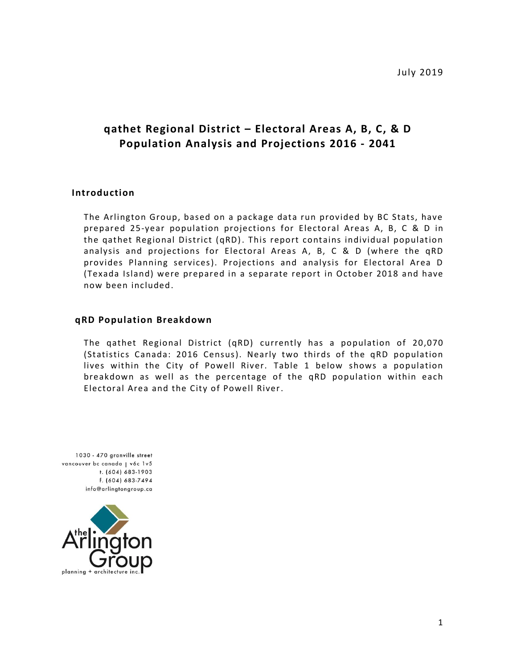July 2019

# **qathet Regional District – Electoral Areas A, B, C, & D Population Analysis and Projections 2016 - 2041**

#### **Introduction**

The Arlington Group, based on a package data run provided by BC Stats, have prepared 25-year population projections for Electoral Areas A, B, C & D in the qathet Regional District (qRD). This report contains individual population analysis and projections for Electoral Areas A, B, C & D (where the qRD provides Planning services). Projections and analysis for Electoral Area D (Texada Island) were prepared in a separate report in October 2018 and have now been included.

#### **qRD Population Breakdown**

The qathet Regional District (qRD) currently has a population of 20,070 (Statistics Canada: 2016 Census). Nearly two thirds of the qRD population lives within the City of Powell River. Table 1 below shows a population breakdown as well as the percentage of the qRD population within each Electoral Area and the City of Powell River.

1030 - 470 granville street vancouver bc canada | vóc 1v5 t. (604) 683-1903 f. (604) 683-7494 info@arlingtongroup.ca

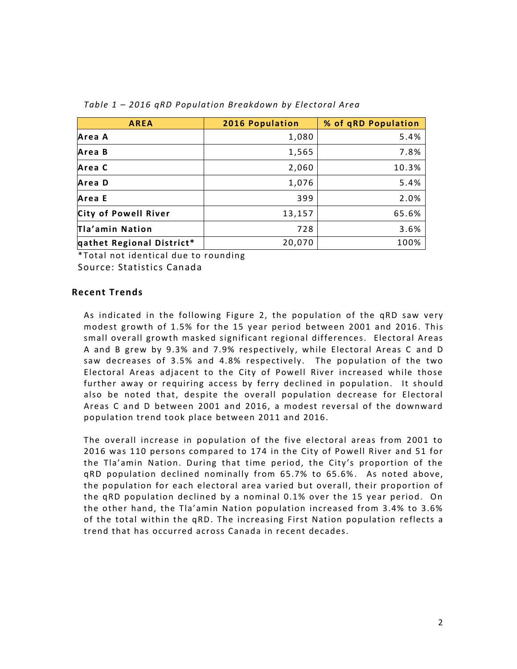| <b>AREA</b>               | 2016 Population | % of qRD Population |
|---------------------------|-----------------|---------------------|
| Area A                    | 1,080           | 5.4%                |
| Area B                    | 1,565           | 7.8%                |
| Area C                    | 2,060           | 10.3%               |
| Area D                    | 1,076           | 5.4%                |
| Area E                    | 399             | 2.0%                |
| City of Powell River      | 13,157          | 65.6%               |
| Tla'amin Nation           | 728             | 3.6%                |
| qathet Regional District* | 20,070          | 100%                |

#### *Table 1 – 2016 qRD Population Breakdown by Electoral Area*

\*Total not identical due to rounding Source: Statistics Canada

#### **Recent Trends**

As indicated in the following Figure 2, the population of the qRD saw very modest growth of 1.5% for the 15 year period between 2001 and 2016. This small overall growth masked significant regional differences. Electoral Areas A and B grew by 9.3% and 7.9% respectively, while Electoral Areas C and D saw decreases of 3.5% and 4.8% respectively. The population of the two Electoral Areas adjacent to the City of Powell River increased while those further away or requiring access by ferry declined in population. It should also be noted that, despite the overall population decrease for Electoral Areas C and D between 2001 and 2016, a modest reversal of the downward population trend took place between 2011 and 2016.

The overall increase in population of the five electoral areas from 2001 to 2016 was 110 persons compared to 174 in the City of Powell River and 51 for the Tla'amin Nation. During that time period, the City's proportion of the qRD population declined nominally from 65.7% to 65.6% . As noted above, the population for each electoral area varied but overall, their proportion of the qRD population declined by a nominal 0.1% over the 15 year period. On the other hand, the Tla'amin Nation population increased from 3.4% to 3.6% of the total within the qRD. The increasing First Nation population reflects a trend that has occurred across Canada in recent decades.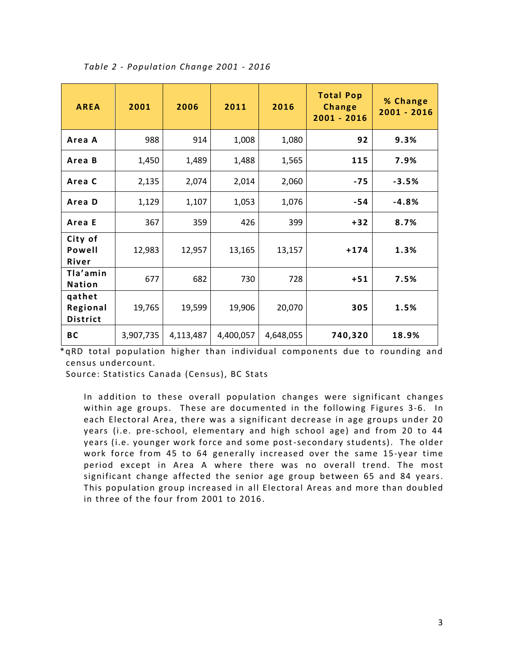| <b>AREA</b>                           | 2001      | 2006      | 2011      | 2016      | <b>Total Pop</b><br><b>Change</b><br>$2001 - 2016$ | % Change<br>2001 - 2016 |
|---------------------------------------|-----------|-----------|-----------|-----------|----------------------------------------------------|-------------------------|
| Area A                                | 988       | 914       | 1,008     | 1,080     | 92                                                 | 9.3%                    |
| Area B                                | 1,450     | 1,489     | 1,488     | 1,565     | 115                                                | 7.9%                    |
| Area C                                | 2,135     | 2,074     | 2,014     | 2,060     | $-75$                                              | $-3.5%$                 |
| Area D                                | 1,129     | 1,107     | 1,053     | 1,076     | $-54$                                              | $-4.8%$                 |
| Area E                                | 367       | 359       | 426       | 399       | $+32$                                              | 8.7%                    |
| City of<br>Powell<br>River            | 12,983    | 12,957    | 13,165    | 13,157    | $+174$                                             | 1.3%                    |
| Tla'amin<br><b>Nation</b>             | 677       | 682       | 730       | 728       | $+51$                                              | 7.5%                    |
| qathet<br>Regional<br><b>District</b> | 19,765    | 19,599    | 19,906    | 20,070    | 305                                                | 1.5%                    |
| BC                                    | 3,907,735 | 4,113,487 | 4,400,057 | 4,648,055 | 740,320                                            | 18.9%                   |

*Table 2 - Population Change 2001 - 2016*

\*qRD total population higher than individual components due to rounding and census undercount.

Source: Statistics Canada (Census), BC Stats

In addition to these overall population changes were significant changes within age groups. These are documented in the following Figures 3-6. In each Electoral Area, there was a significant decrease in age groups under 20 years (i.e. pre-school, elementary and high school age) and from 20 to 44 years (i.e. younger work force and some post-secondary students). The older work force from 45 to 64 generally increased over the same 15-year time period except in Area A where there was no overall trend. The most significant change affected the senior age group between 65 and 84 years. This population group increased in all Electoral Areas and more than doubled in three of the four from 2001 to 2016.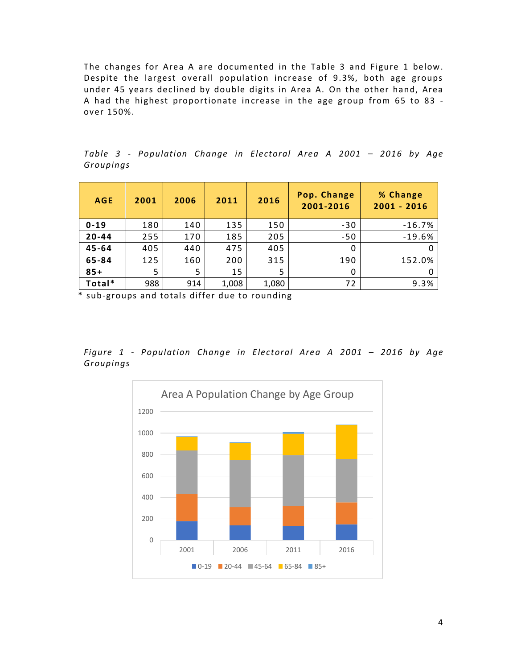The changes for Area A are documented in the Table 3 and Figure 1 below. Despite the largest overall population increase of 9.3%, both age groups under 45 years declined by double digits in Area A. On the other hand, Area A had the highest proportionate increase in the age group from 65 to 83 over 150%.

| <b>AGE</b> | 2001 | 2006 | 2011  | 2016  | Pop. Change<br>2001-2016 | % Change<br>$2001 - 2016$ |  |
|------------|------|------|-------|-------|--------------------------|---------------------------|--|
| $0 - 19$   | 180  | 140  | 135   | 150   | $-30$                    | $-16.7%$                  |  |
| $20 - 44$  | 255  | 170  | 185   | 205   | $-50$                    | $-19.6%$                  |  |
| $45 - 64$  | 405  | 440  | 475   | 405   | 0                        |                           |  |
| 65-84      | 125  | 160  | 200   | 315   | 190                      | 152.0%                    |  |
| $85+$      | 5    | 5    | 15    | 5     | 0                        |                           |  |
| Total*     | 988  | 914  | 1,008 | 1,080 | 72                       | 9.3%                      |  |

*Table 3 - Population Change in Electoral Area A 2001 – 2016 by Age Groupings*

*Figure 1 - Population Change in Electoral Area A 2001 – 2016 by Age Groupings*

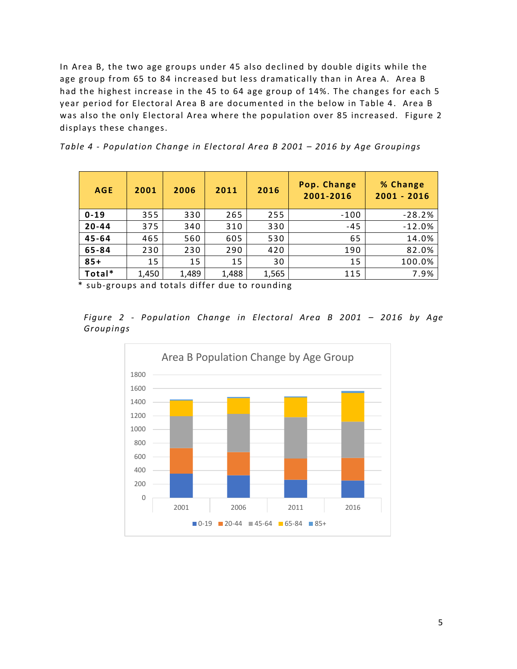In Area B, the two age groups under 45 also declined by double digits while the age group from 65 to 84 increased but less dramatically than in Area A. Area B had the highest increase in the 45 to 64 age group of 14%. The changes for each 5 year period for Electoral Area B are documented in the below in Table 4. Area B was also the only Electoral Area where the population over 85 increased. Figure 2 displays these changes.

| <b>AGE</b> | 2001  | 2006  | 2011  | 2016  | Pop. Change<br>2001-2016 | % Change<br>$2001 - 2016$ |  |
|------------|-------|-------|-------|-------|--------------------------|---------------------------|--|
| $0 - 19$   | 355   | 330   | 265   | 255   | $-100$                   | $-28.2%$                  |  |
| $20 - 44$  | 375   | 340   | 310   | 330   | $-45$                    | $-12.0%$                  |  |
| $45 - 64$  | 465   | 560   | 605   | 530   | 65                       | 14.0%                     |  |
| 65-84      | 230   | 230   | 290   | 420   | 190                      | 82.0%                     |  |
| $85+$      | 15    | 15    | 15    | 30    | 15                       | 100.0%                    |  |
| Total*     | 1,450 | 1,489 | 1,488 | 1,565 | 115                      | 7.9%                      |  |

*Table 4 - Population Change in Electoral Area B 2001 – 2016 by Age Groupings*

*Figure 2 - Population Change in Electoral Area B 2001 – 2016 by Age Groupings*

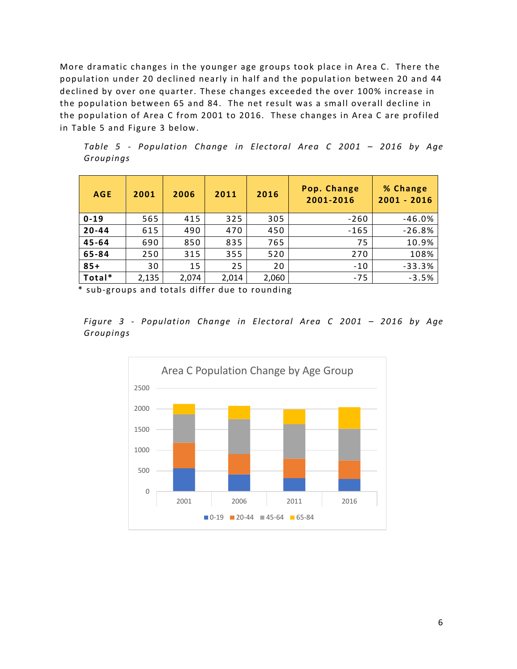More dramatic changes in the younger age groups took place in Area C. There the population under 20 declined nearly in half and the population between 20 and 44 declined by over one quarter. These changes exceeded the over 100% increase in the population between 65 and 84. The net result was a small overall decline in the population of Area C from 2001 to 2016. These changes in Area C are profiled in Table 5 and Figure 3 below.

*Table 5 - Population Change in Electoral Area C 2001 – 2016 by Age Groupings*

| <b>AGE</b> | 2001  | 2006  | 2011  | 2016  | Pop. Change<br>2001-2016 | % Change<br>$2001 - 2016$ |
|------------|-------|-------|-------|-------|--------------------------|---------------------------|
| $0 - 19$   | 565   | 415   | 325   | 305   | $-260$                   | $-46.0%$                  |
| $20 - 44$  | 615   | 490   | 470   | 450   | $-165$                   | $-26.8%$                  |
| $45 - 64$  | 690   | 850   | 835   | 765   | 75                       | 10.9%                     |
| 65-84      | 250   | 315   | 355   | 520   | 270                      | 108%                      |
| $85+$      | 30    | 15    | 25    | 20    | $-10$                    | $-33.3%$                  |
| Total*     | 2,135 | 2,074 | 2,014 | 2,060 | $-75$                    | $-3.5%$                   |

*Figure 3 - Population Change in Electoral Area C 2001 – 2016 by Age Groupings*

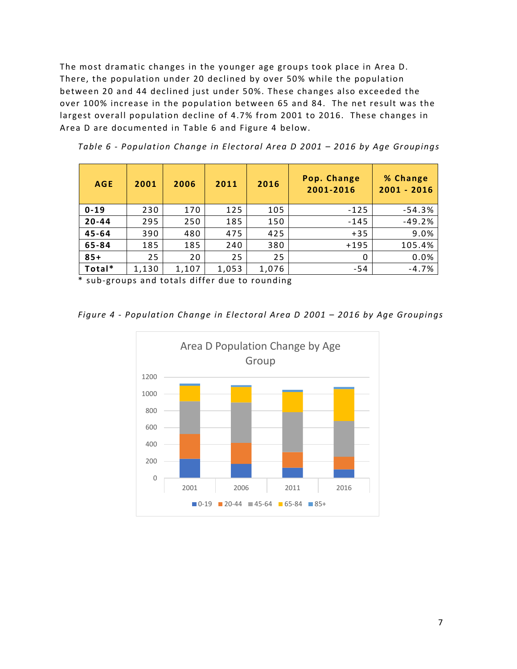The most dramatic changes in the younger age groups took place in Area D. There, the population under 20 declined by over 50% while the population between 20 and 44 declined just under 50%. These changes also exceeded the over 100% increase in the population between 65 and 84. The net result was the largest overall population decline of 4.7% from 2001 to 2016. These changes in Area D are documented in Table 6 and Figure 4 below.

| <b>AGE</b> | 2001  | 2006  | 2011  | 2016  | Pop. Change<br>2001-2016 | % Change<br>$2001 - 2016$ |
|------------|-------|-------|-------|-------|--------------------------|---------------------------|
| $0 - 19$   | 230   | 170   | 125   | 105   | $-125$                   | $-54.3%$                  |
| $20 - 44$  | 295   | 250   | 185   | 150   | $-145$                   | $-49.2%$                  |
| 45-64      | 390   | 480   | 475   | 425   | $+35$                    | 9.0%                      |
| 65-84      | 185   | 185   | 240   | 380   | $+195$                   | 105.4%                    |
| $85+$      | 25    | 20    | 25    | 25    | 0                        | 0.0%                      |
| Total*     | 1,130 | 1,107 | 1,053 | 1,076 | -54                      | $-4.7%$                   |

*Table 6 - Population Change in Electoral Area D 2001 – 2016 by Age Groupings*

*Figure 4 - Population Change in Electoral Area D 2001 – 2016 by Age Groupings*

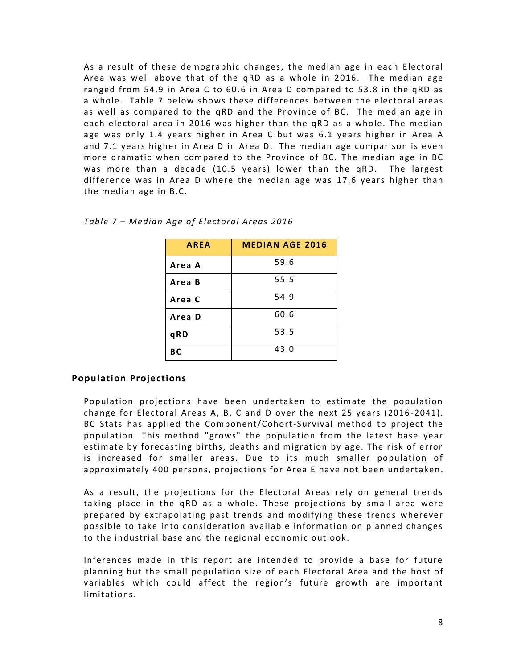As a result of these demographic changes, the median age in each Electoral Area was well above that of the qRD as a whole in 2016. The median age ranged from 54.9 in Area C to 60 .6 in Area D compared to 53.8 in the qRD as a whole. Table 7 below shows these differences between the electoral areas as well as compared to the qRD and the Province of BC. The median age in each electoral area in 2016 was higher than the qRD as a whole. The median age was only 1.4 years higher in Area C but was 6.1 years higher in Area A and 7.1 years higher in Area D in Area D. The median age comparison is even more dramatic when compared to the Province of BC. The median age in BC was more than a decade (10.5 years) lower than the qRD. The largest difference was in Area D where the median age was 17.6 years higher than the median age in B.C.

| <b>AREA</b> | <b>MEDIAN AGE 2016</b> |
|-------------|------------------------|
| Area A      | 59.6                   |
| Area B      | 55.5                   |
| Area C      | 54.9                   |
| Area D      | 60.6                   |
| qRD         | 53.5                   |
| <b>BC</b>   | 43.0                   |

*Table 7 – Median Age of Electoral Areas 2016*

### **Population Projections**

Population projections have been undertaken to estimate the population change for Electoral Areas A, B, C and D over the next 25 years (2016 -2041). BC Stats has applied the Component/Cohort-Survival method to project the population. This method "grows" the population from the latest base year estimate by forecasting births, deaths and migration by age. The risk of error is increased for smaller areas. Due to its much smaller population of approximately 400 persons, projections for Area E have not been undertaken.

As a result, the projections for the Electoral Areas rely on general trends taking place in the qRD as a whole. These projections by small area were prepared by extrapolating past trends and modifying these trends wherever possible to take into consideration available information on planned changes to the industrial base and the regional economic outlook.

Inferences made in this report are intended to provide a base for future planning but the small population size of each Electoral Area and the host of variables which could affect the region's future growth are important limitations.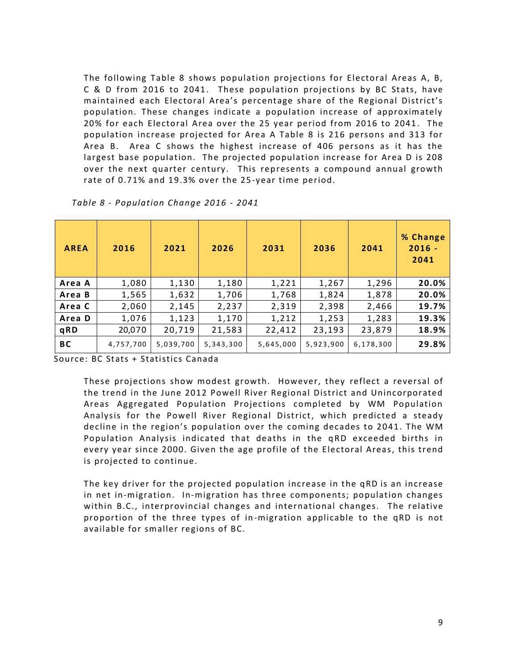The following Table 8 shows population projections for Electoral Areas A, B, C & D from 2016 to 2041. These population projections by BC Stats, have maintained each Electoral Area's percentage share of the Regional District's population. These changes indicate a population increase of approximately 20% for each Electoral Area over the 25 year period from 2016 to 2041 . The population increase projected for Area A Table 8 is 216 persons and 313 for Area B. Area C shows the highest increase of 406 persons as it has the largest base population. The projected population increase for Area D is 208 over the next quarter century. This represents a compound annual growth rate of 0.71% and 19.3% over the 25 -year time period.

| <b>AREA</b> | 2016      | 2021      | 2026      | 2031      | 2036      | 2041      | % Change<br>$2016 -$<br>2041 |
|-------------|-----------|-----------|-----------|-----------|-----------|-----------|------------------------------|
| Area A      | 1,080     | 1,130     | 1,180     | 1,221     | 1,267     | 1,296     | 20.0%                        |
| Area B      | 1,565     | 1,632     | 1,706     | 1,768     | 1,824     | 1,878     | 20.0%                        |
| Area C      | 2,060     | 2,145     | 2,237     | 2,319     | 2,398     | 2,466     | 19.7%                        |
| Area D      | 1,076     | 1,123     | 1,170     | 1,212     | 1,253     | 1,283     | 19.3%                        |
| qRD         | 20,070    | 20,719    | 21,583    | 22,412    | 23,193    | 23,879    | 18.9%                        |
| <b>BC</b>   | 4,757,700 | 5,039,700 | 5,343,300 | 5,645,000 | 5,923,900 | 6,178,300 | 29.8%                        |

*Table 8 - Population Change 2016 - 2041*

Source: BC Stats + Statistics Canada

These projections show modest growth. However, they reflect a reversal of the trend in the June 2012 Powell River Regional District and Unincorporated Areas Aggregated Population Projections completed by WM Population Analysis for the Powell River Regional District, which predicted a steady decline in the region's population over the coming decades to 2041. The WM Population Analysis indicated that deaths in the qRD exceeded births in every year since 2000. Given the age profile of the Electoral Areas, this trend is projected to continue.

The key driver for the projected population increase in the qRD is an increase in net in-migration. In-migration has three components; population changes within B.C., interprovincial changes and international changes. The relative proportion of the three types of in-migration applicable to the qRD is not available for smaller regions of BC.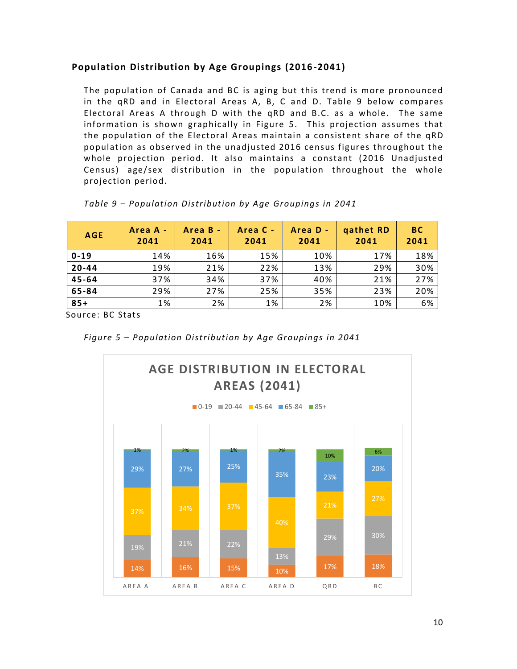## **Population Distribution by Age Groupings (2016 -2041)**

The population of Canada and BC is aging but this trend is more pronounced in the qRD and in Electoral Areas A, B, C and D. Table 9 below compares Electoral Areas A through D with the qRD and B.C. as a whole. The same information is shown graphically in Figure 5. This projection assumes that the population of the Electoral Areas maintain a consistent share of the qRD population as observed in the unadjusted 2016 census figures throughout the whole projection period. It also maintains a constant (2016 Unadjusted Census) age/sex distribution in the population throughout the whole projection period.

| <b>AGE</b> | Area A -<br>2041 | Area B -<br>2041 | Area C -<br>2041 | Area D -<br>2041 | qathet RD<br>2041 | <b>BC</b><br>2041 |
|------------|------------------|------------------|------------------|------------------|-------------------|-------------------|
| $0 - 19$   | 14%              | 16%              | 15%              | 10%              | 17%               | 18%               |
| $20 - 44$  | 19%              | 21%              | 22%              | 13%              | 29%               | 30%               |
| $45 - 64$  | 37%              | 34%              | 37%              | 40%              | 21%               | 27%               |
| 65-84      | 29%              | 27%              | 25%              | 35%              | 23%               | 20%               |
| $85+$      | 1%               | 2%               | 1%               | 2%               | 10%               | 6%                |

|  | Table 9 - Population Distribution by Age Groupings in 2041 |  |  |
|--|------------------------------------------------------------|--|--|
|  |                                                            |  |  |

Source: BC Stats

*Figure 5 – Population Distribution by Age Groupings in 2041*

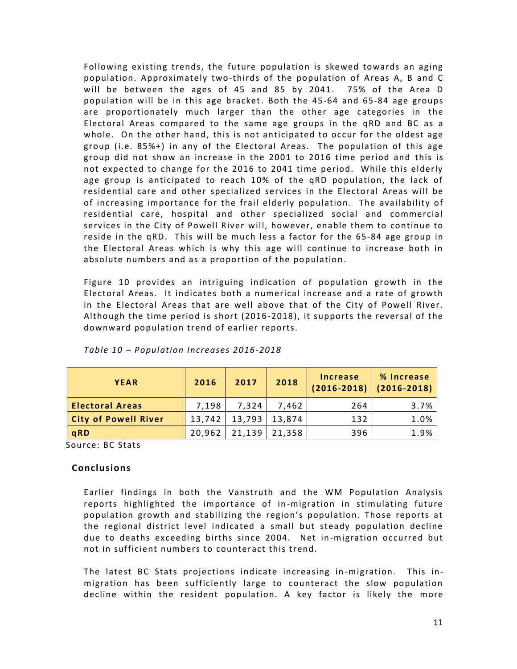Following existing trends, the future population is skewed towards an aging population. Approximately two-thirds of the population of Areas A, B and C will be between the ages of 45 and 85 by 2041. 75% of the Area D population will be in this age bracket. Both the 45-64 and 65-84 age groups are proportionately much larger than the other age categories in the Electoral Areas compared to the same age groups in the qRD and BC as a whole. On the other hand, this is not anticipated to occur for the oldest age group (i.e. 85%+) in any of the Electoral Areas. The population of this age group did not show an increase in the 2001 to 2016 time period and this is not expected to change for the 2016 to 2041 time period. While this elderly age group is anticipated to reach 10% of the qRD population, the lack of residential care and other specialized services in the Electoral Areas will be of increasing importance for the frail elderly population. The availability of residential care, hospital and other specialized social and commercial services in the City of Powell River will, however, enable them to continue to reside in the qRD. This will be much less a factor for the 65-84 age group in the Electoral Areas which is why this age will continue to increase both in absolute numbers and as a proportion of the population .

Figure 10 provides an intriguing indication of population growth in the Electoral Areas. It indicates both a numerical increase and a rate of growth in the Electoral Areas that are well above that of the City of Powell River. Although the time period is short (2016 -2018), it supports the reversal of the downward population trend of earlier reports.

| <b>YEAR</b>                 | 2016   | 2017   | 2018              | <b>Increase</b><br>$(2016 - 2018)$ | % Increase<br>$(2016 - 2018)$ |
|-----------------------------|--------|--------|-------------------|------------------------------------|-------------------------------|
| <b>Electoral Areas</b>      | 7,198  | 7.324  | 7.462             | 264                                | 3.7%                          |
| <b>City of Powell River</b> | 13,742 |        | $13,793$   13,874 | 132                                | 1.0%                          |
| qRD                         | 20,962 | 21,139 | 21,358            | 396                                | 1.9%                          |

*Table 10 – Population Increases 2016-2018*

Source: BC Stats

### **Conclusions**

Earlier findings in both the Vanstruth and the WM Population Analysis reports highlighted the importance of in-migration in stimulating future population growth and stabilizing the region's population. Those reports at the regional district level indicated a small but steady population decline due to deaths exceeding births since 2004. Net in -migration occurred but not in sufficient numbers to counteract this trend.

The latest BC Stats projections indicate increasing in -migration. This inmigration has been sufficiently large to counteract the slow population decline within the resident population. A key factor is likely the more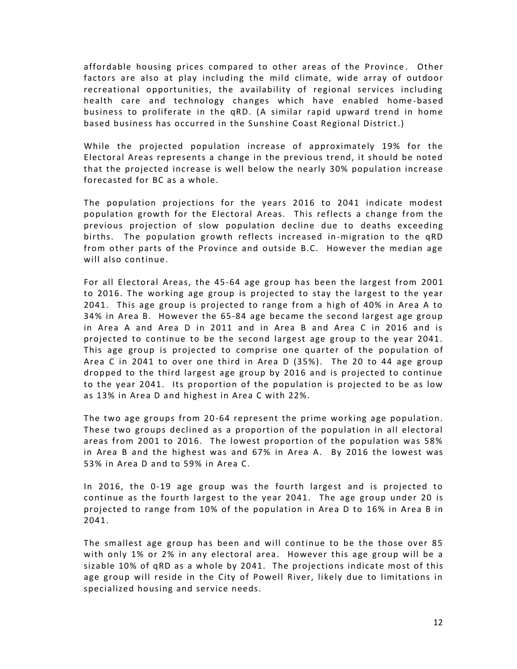affordable housing prices compared to other areas of the Province . Other factors are also at play including the mild climate, wide array of outdoor recreational opportunities, the availability of regional services including health care and technology changes which have enabled home -based business to proliferate in the qRD. (A similar rapid upward trend in home based business has occurred in the Sunshine Coast Regional District.)

While the projected population increase of approximately 19% for the Electoral Areas represents a change in the previous trend, it should be noted that the projected increase is well below the nearly 30% population increase forecasted for BC as a whole.

The population projections for the years 2016 to 2041 indicate modest population growth for the Electoral Areas. This reflects a change from the previous projection of slow population decline due to deaths exceeding births. The population growth reflects increased in -migration to the qRD from other parts of the Province and outside B.C. However the median age will also continue.

For all Electoral Areas, the 45-64 age group has been the largest from 2001 to 2016. The working age group is projected to stay the largest to the year 2041. This age group is projected to range from a high of 40% in Area A to 34% in Area B. However the 65-84 age became the second largest age group in Area A and Area D in 2011 and in Area B and Area C in 2016 and is projected to continue to be the second largest age group to the year 2041. This age group is projected to comprise one quarter of the population of Area C in 2041 to over one third in Area D (35%). The 20 to 44 age group dropped to the third largest age group by 2016 and is projected to continue to the year 2041. Its proportion of the population is projected to be as low as 13% in Area D and highest in Area C with 22%.

The two age groups from 20-64 represent the prime working age population. These two groups declined as a proportion of the population in all electoral areas from 2001 to 2016. The lowest proportion of the population was 58% in Area B and the highest was and 67% in Area A. By 2016 the lowest was 53% in Area D and to 59% in Area C.

In 2016, the 0-19 age group was the fourth largest and is projected to continue as the fourth largest to the year 2041. The age group under 20 is projected to range from 10% of the population in Area D to 16% in Area B in 2041.

The smallest age group has been and will continue to be the those over 85 with only 1% or 2% in any electoral area. However this age group will be a sizable 10% of qRD as a whole by 2041. The projections indicate most of this age group will reside in the City of Powell River, likely due to limitations in specialized housing and service needs.